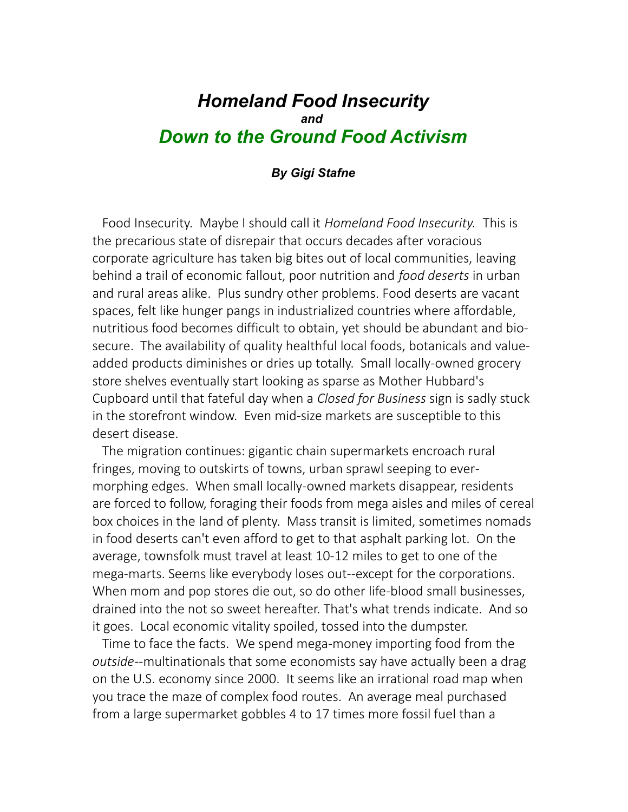# *Homeland Food Insecurity and Down to the Ground Food Activism*

### *By Gigi Stafne*

 Food Insecurity. Maybe I should call it *Homeland Food Insecurity.* This is the precarious state of disrepair that occurs decades after voracious corporate agriculture has taken big bites out of local communities, leaving behind a trail of economic fallout, poor nutrition and *food deserts* in urban and rural areas alike. Plus sundry other problems. Food deserts are vacant spaces, felt like hunger pangs in industrialized countries where affordable, nutritious food becomes difficult to obtain, yet should be abundant and biosecure. The availability of quality healthful local foods, botanicals and valueadded products diminishes or dries up totally. Small locally-owned grocery store shelves eventually start looking as sparse as Mother Hubbard's Cupboard until that fateful day when a *Closed for Business* sign is sadly stuck in the storefront window. Even mid-size markets are susceptible to this desert disease.

 The migration continues: gigantic chain supermarkets encroach rural fringes, moving to outskirts of towns, urban sprawl seeping to evermorphing edges. When small locally-owned markets disappear, residents are forced to follow, foraging their foods from mega aisles and miles of cereal box choices in the land of plenty. Mass transit is limited, sometimes nomads in food deserts can't even afford to get to that asphalt parking lot. On the average, townsfolk must travel at least 10-12 miles to get to one of the mega-marts. Seems like everybody loses out--except for the corporations. When mom and pop stores die out, so do other life-blood small businesses, drained into the not so sweet hereafter. That's what trends indicate. And so it goes. Local economic vitality spoiled, tossed into the dumpster.

 Time to face the facts. We spend mega-money importing food from the *outside*--multinationals that some economists say have actually been a drag on the U.S. economy since 2000. It seems like an irrational road map when you trace the maze of complex food routes. An average meal purchased from a large supermarket gobbles 4 to 17 times more fossil fuel than a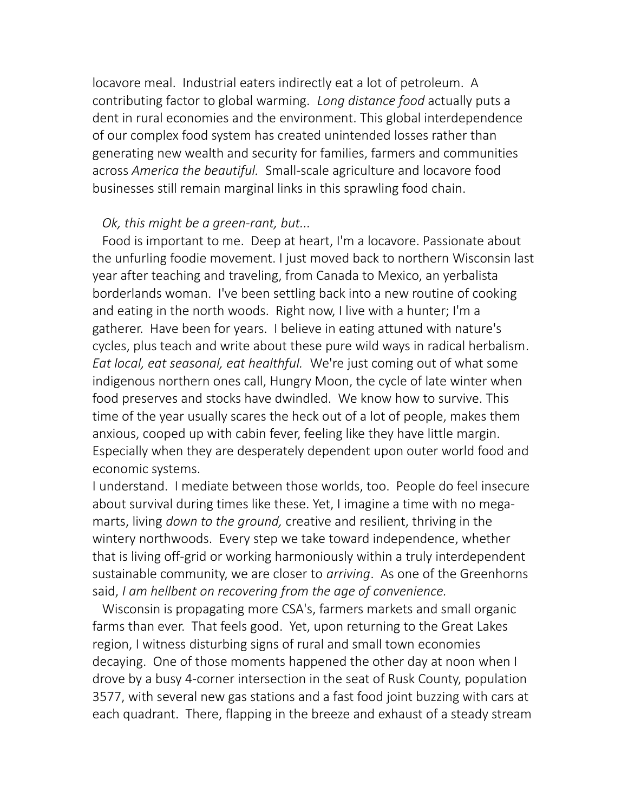locavore meal. Industrial eaters indirectly eat a lot of petroleum. A contributing factor to global warming. *Long distance food* actually puts a dent in rural economies and the environment. This global interdependence of our complex food system has created unintended losses rather than generating new wealth and security for families, farmers and communities across *America the beautiful.* Small-scale agriculture and locavore food businesses still remain marginal links in this sprawling food chain.

## *Ok, this might be a green-rant, but...*

 Food is important to me. Deep at heart, I'm a locavore. Passionate about the unfurling foodie movement. I just moved back to northern Wisconsin last year after teaching and traveling, from Canada to Mexico, an yerbalista borderlands woman. I've been settling back into a new routine of cooking and eating in the north woods. Right now, I live with a hunter; I'm a gatherer. Have been for years. I believe in eating attuned with nature's cycles, plus teach and write about these pure wild ways in radical herbalism*. Eat local, eat seasonal, eat healthful.* We're just coming out of what some indigenous northern ones call, Hungry Moon, the cycle of late winter when food preserves and stocks have dwindled. We know how to survive. This time of the year usually scares the heck out of a lot of people, makes them anxious, cooped up with cabin fever, feeling like they have little margin. Especially when they are desperately dependent upon outer world food and economic systems.

I understand. I mediate between those worlds, too. People do feel insecure about survival during times like these. Yet, I imagine a time with no megamarts, living *down to the ground,* creative and resilient, thriving in the wintery northwoods. Every step we take toward independence, whether that is living off-grid or working harmoniously within a truly interdependent sustainable community, we are closer to *arriving*. As one of the Greenhorns said, *I am hellbent on recovering from the age of convenience.*

 Wisconsin is propagating more CSA's, farmers markets and small organic farms than ever. That feels good. Yet, upon returning to the Great Lakes region, I witness disturbing signs of rural and small town economies decaying. One of those moments happened the other day at noon when I drove by a busy 4-corner intersection in the seat of Rusk County, population 3577, with several new gas stations and a fast food joint buzzing with cars at each quadrant. There, flapping in the breeze and exhaust of a steady stream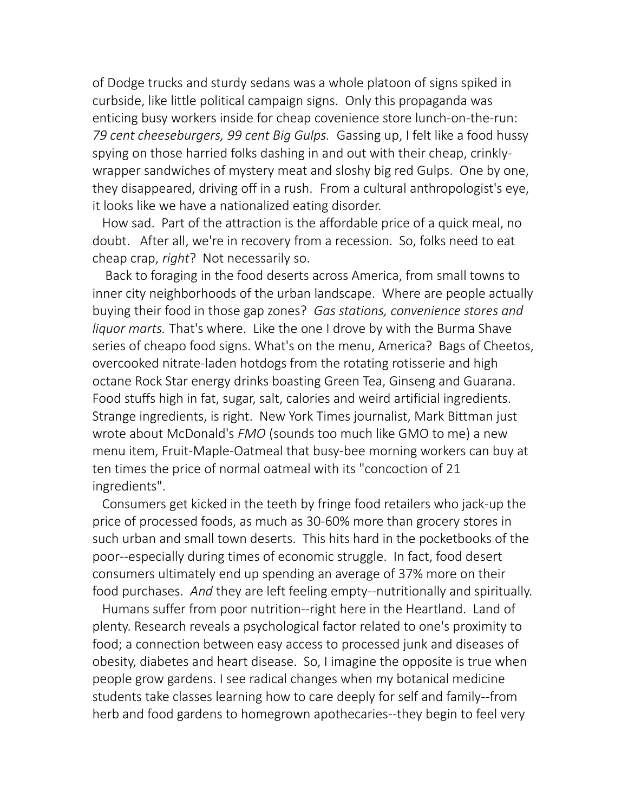of Dodge trucks and sturdy sedans was a whole platoon of signs spiked in curbside, like little political campaign signs. Only this propaganda was enticing busy workers inside for cheap covenience store lunch-on-the-run: *79 cent cheeseburgers, 99 cent Big Gulps.* Gassing up, I felt like a food hussy spying on those harried folks dashing in and out with their cheap, crinklywrapper sandwiches of mystery meat and sloshy big red Gulps. One by one, they disappeared, driving off in a rush. From a cultural anthropologist's eye, it looks like we have a nationalized eating disorder.

 How sad. Part of the attraction is the affordable price of a quick meal, no doubt. After all, we're in recovery from a recession. So, folks need to eat cheap crap, *right*? Not necessarily so.

 Back to foraging in the food deserts across America, from small towns to inner city neighborhoods of the urban landscape. Where are people actually buying their food in those gap zones? *Gas stations, convenience stores and liquor marts.* That's where. Like the one I drove by with the Burma Shave series of cheapo food signs. What's on the menu, America? Bags of Cheetos, overcooked nitrate-laden hotdogs from the rotating rotisserie and high octane Rock Star energy drinks boasting Green Tea, Ginseng and Guarana. Food stuffs high in fat, sugar, salt, calories and weird artificial ingredients. Strange ingredients, is right. New York Times journalist, Mark Bittman just wrote about McDonald's *FMO* (sounds too much like GMO to me) a new menu item, Fruit-Maple-Oatmeal that busy-bee morning workers can buy at ten times the price of normal oatmeal with its "concoction of 21 ingredients".

 Consumers get kicked in the teeth by fringe food retailers who jack-up the price of processed foods, as much as 30-60% more than grocery stores in such urban and small town deserts. This hits hard in the pocketbooks of the poor--especially during times of economic struggle. In fact, food desert consumers ultimately end up spending an average of 37% more on their food purchases. *And* they are left feeling empty--nutritionally and spiritually.

 Humans suffer from poor nutrition--right here in the Heartland. Land of plenty. Research reveals a psychological factor related to one's proximity to food; a connection between easy access to processed junk and diseases of obesity, diabetes and heart disease. So, I imagine the opposite is true when people grow gardens. I see radical changes when my botanical medicine students take classes learning how to care deeply for self and family--from herb and food gardens to homegrown apothecaries--they begin to feel very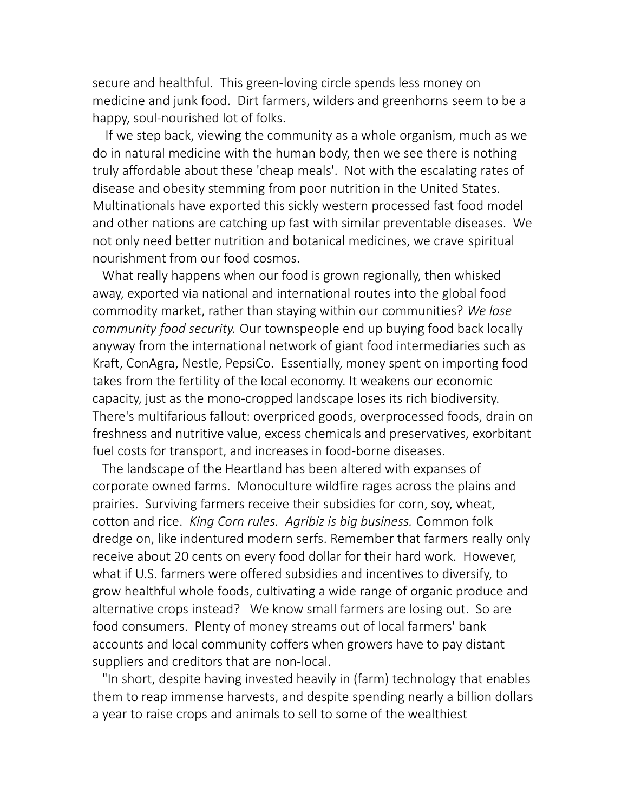secure and healthful. This green-loving circle spends less money on medicine and junk food. Dirt farmers, wilders and greenhorns seem to be a happy, soul-nourished lot of folks.

 If we step back, viewing the community as a whole organism, much as we do in natural medicine with the human body, then we see there is nothing truly affordable about these 'cheap meals'. Not with the escalating rates of disease and obesity stemming from poor nutrition in the United States. Multinationals have exported this sickly western processed fast food model and other nations are catching up fast with similar preventable diseases. We not only need better nutrition and botanical medicines, we crave spiritual nourishment from our food cosmos.

 What really happens when our food is grown regionally, then whisked away, exported via national and international routes into the global food commodity market, rather than staying within our communities? *We lose community food security.* Our townspeople end up buying food back locally anyway from the international network of giant food intermediaries such as Kraft, ConAgra, Nestle, PepsiCo. Essentially, money spent on importing food takes from the fertility of the local economy. It weakens our economic capacity, just as the mono-cropped landscape loses its rich biodiversity. There's multifarious fallout: overpriced goods, overprocessed foods, drain on freshness and nutritive value, excess chemicals and preservatives, exorbitant fuel costs for transport, and increases in food-borne diseases.

 The landscape of the Heartland has been altered with expanses of corporate owned farms. Monoculture wildfire rages across the plains and prairies. Surviving farmers receive their subsidies for corn, soy, wheat, cotton and rice. *King Corn rules. Agribiz is big business.* Common folk dredge on, like indentured modern serfs. Remember that farmers really only receive about 20 cents on every food dollar for their hard work. However, what if U.S. farmers were offered subsidies and incentives to diversify, to grow healthful whole foods, cultivating a wide range of organic produce and alternative crops instead? We know small farmers are losing out. So are food consumers. Plenty of money streams out of local farmers' bank accounts and local community coffers when growers have to pay distant suppliers and creditors that are non-local.

 "In short, despite having invested heavily in (farm) technology that enables them to reap immense harvests, and despite spending nearly a billion dollars a year to raise crops and animals to sell to some of the wealthiest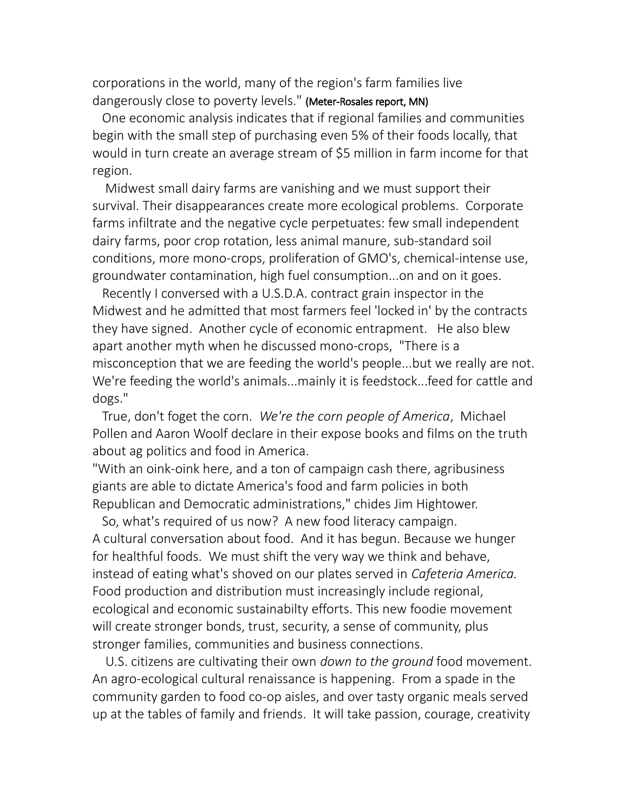corporations in the world, many of the region's farm families live dangerously close to poverty levels." (Meter-Rosales report, MN)

 One economic analysis indicates that if regional families and communities begin with the small step of purchasing even 5% of their foods locally, that would in turn create an average stream of \$5 million in farm income for that region.

 Midwest small dairy farms are vanishing and we must support their survival. Their disappearances create more ecological problems. Corporate farms infiltrate and the negative cycle perpetuates: few small independent dairy farms, poor crop rotation, less animal manure, sub-standard soil conditions, more mono-crops, proliferation of GMO's, chemical-intense use, groundwater contamination, high fuel consumption...on and on it goes.

 Recently I conversed with a U.S.D.A. contract grain inspector in the Midwest and he admitted that most farmers feel 'locked in' by the contracts they have signed. Another cycle of economic entrapment. He also blew apart another myth when he discussed mono-crops, "There is a misconception that we are feeding the world's people...but we really are not. We're feeding the world's animals...mainly it is feedstock...feed for cattle and dogs."

 True, don't foget the corn. *We're the corn people of America*, Michael Pollen and Aaron Woolf declare in their expose books and films on the truth about ag politics and food in America.

"With an oink-oink here, and a ton of campaign cash there, agribusiness giants are able to dictate America's food and farm policies in both Republican and Democratic administrations," chides Jim Hightower.

 So, what's required of us now? A new food literacy campaign. A cultural conversation about food. And it has begun. Because we hunger for healthful foods. We must shift the very way we think and behave, instead of eating what's shoved on our plates served in *Cafeteria America.* Food production and distribution must increasingly include regional, ecological and economic sustainabilty efforts. This new foodie movement will create stronger bonds, trust, security, a sense of community, plus stronger families, communities and business connections.

 U.S. citizens are cultivating their own *down to the ground* food movement. An agro-ecological cultural renaissance is happening. From a spade in the community garden to food co-op aisles, and over tasty organic meals served up at the tables of family and friends. It will take passion, courage, creativity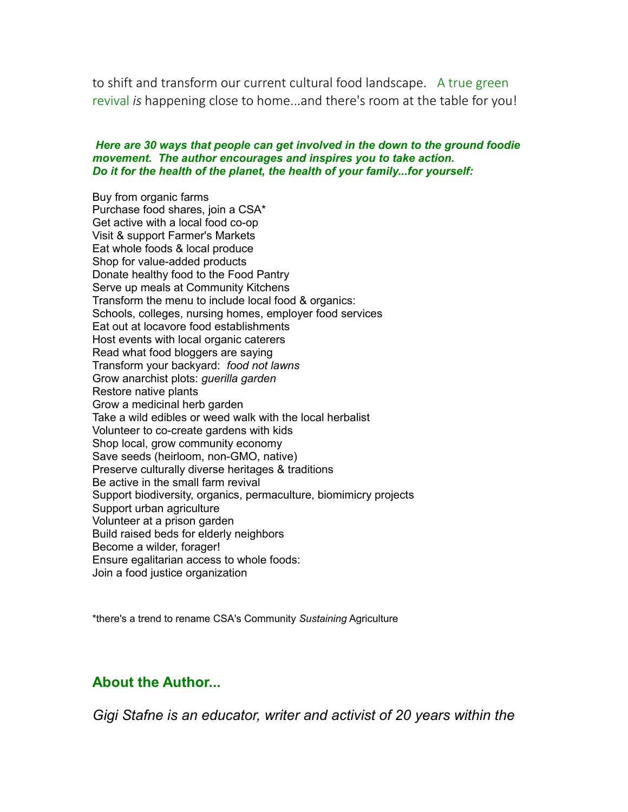to shift and transform our current cultural food landscape. A true green revival *is* happening close to home...and there's room at the table for you!

#### *Here are 30 ways that people can get involved in the down to the ground foodie movement. The author encourages and inspires you to take action. Do it for the health of the planet, the health of your family...for yourself:*

Buy from organic farms Purchase food shares, join a CSA\* Get active with a local food co-op Visit & support Farmer's Markets Eat whole foods & local produce Shop for value-added products Donate healthy food to the Food Pantry Serve up meals at Community Kitchens Transform the menu to include local food & organics: Schools, colleges, nursing homes, employer food services Eat out at locavore food establishments Host events with local organic caterers Read what food bloggers are saying Transform your backyard: *food not lawns* Grow anarchist plots: *guerilla garden* Restore native plants Grow a medicinal herb garden Take a wild edibles or weed walk with the local herbalist Volunteer to co-create gardens with kids Shop local, grow community economy Save seeds (heirloom, non-GMO, native) Preserve culturally diverse heritages & traditions Be active in the small farm revival Support biodiversity, organics, permaculture, biomimicry projects Support urban agriculture Volunteer at a prison garden Build raised beds for elderly neighbors Become a wilder, forager! Ensure egalitarian access to whole foods: Join a food justice organization

\*there's a trend to rename CSA's Community *Sustaining* Agriculture

## **About the Author...**

*Gigi Stafne is an educator, writer and activist of 20 years within the*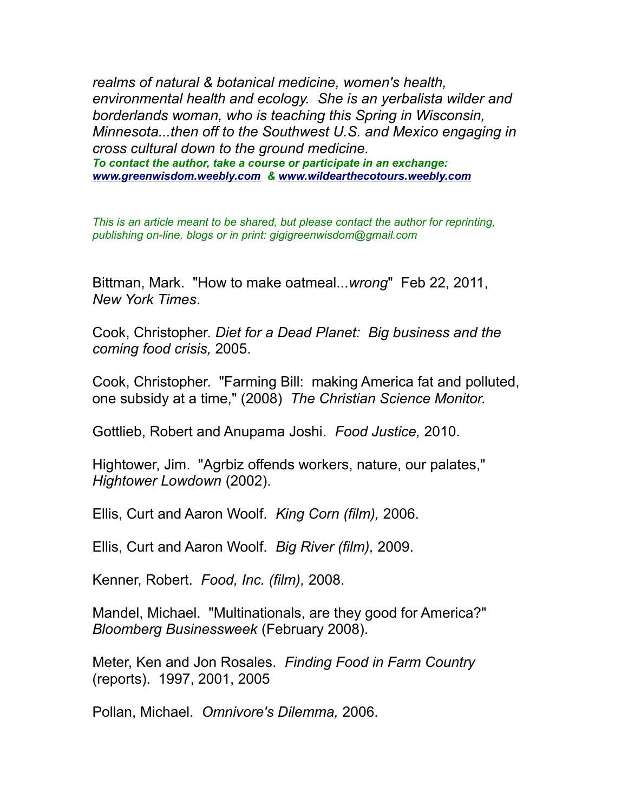*realms of natural & botanical medicine, women's health, environmental health and ecology. She is an yerbalista wilder and borderlands woman, who is teaching this Spring in Wisconsin, Minnesota...then off to the Southwest U.S. and Mexico engaging in cross cultural down to the ground medicine. To contact the author, take a course or participate in an exchange: [www.greenwisdom.weebly.com](file:///C:/Users/Amy/Documents/Amy-Linux%20Documents/Green-Wisdom/Web-Site/Articles&Resources/www.greenwisdom.weebly.com) & [www.wildearthecotours.weebly.com](file:///C:/Users/Amy/Documents/Amy-Linux%20Documents/Green-Wisdom/Web-Site/Articles&Resources/www.wildearthecotours.weebly.com)*

*This is an article meant to be shared, but please contact the author for reprinting, publishing on-line, blogs or in print: gigigreenwisdom@gmail.com*

Bittman, Mark. "How to make oatmeal...*wrong*" Feb 22, 2011, *New York Times*.

Cook, Christopher. *Diet for a Dead Planet: Big business and the coming food crisis,* 2005.

Cook, Christopher. "Farming Bill: making America fat and polluted, one subsidy at a time," (2008) *The Christian Science Monitor.*

Gottlieb, Robert and Anupama Joshi. *Food Justice,* 2010.

Hightower, Jim. "Agrbiz offends workers, nature, our palates," *Hightower Lowdown* (2002).

Ellis, Curt and Aaron Woolf. *King Corn (film),* 2006.

Ellis, Curt and Aaron Woolf. *Big River (film),* 2009.

Kenner, Robert. *Food, Inc. (film),* 2008.

Mandel, Michael. "Multinationals, are they good for America?" *Bloomberg Businessweek* (February 2008).

Meter, Ken and Jon Rosales. *Finding Food in Farm Country* (reports). 1997, 2001, 2005

Pollan, Michael. *Omnivore's Dilemma,* 2006.